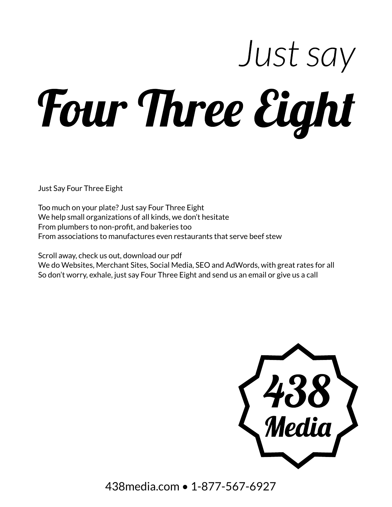# Just say Four Three Eight

Just Say Four Three Eight

Too much on your plate? Just say Four Three Eight We help small organizations of all kinds, we don't hesitate From plumbers to non-profit, and bakeries too From associations to manufactures even restaurants that serve beef stew

Scroll away, check us out, download our pdf We do Websites, Merchant Sites, Social Media, SEO and AdWords, with great rates for all So don't worry, exhale, just say Four Three Eight and send us an email or give us a call



438media.com • 1-877-567-6927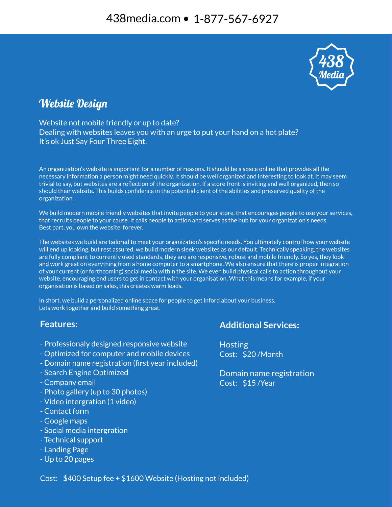

## **Website Design**

Website not mobile friendly or up to date? Dealing with websites leaves you with an urge to put your hand on a hot plate? It's ok Just Say Four Three Eight.

An organization's website is important for a number of reasons. It should be a space online that provides all the necessary information a person might need quickly. It should be well organized and interesting to look at. It may seem trivial to say, but websites are a reflection of the organization. If a store front is inviting and well organized, then so should their website. This builds confidence in the potential client of the abilities and preserved quality of the organization.

We build modern mobile friendly websites that invite people to your store, that encourages people to use your services, that recruits people to your cause. It calls people to action and serves as the hub for your organization's needs. Best part, you own the website, forever.

The websites we build are tailored to meet your organization's specific needs. You ultimately control how your website will end up looking, but rest assured, we build modern sleek websites as our default. Technically speaking, the websites are fully compliant to currently used standards, they are are responsive, robust and mobile friendly. So yes, they look and work great on everything from a home computer to a smartphone. We also ensure that there is proper integration of your current (or forthcoming) social media within the site. We even build physical calls to action throughout your website, encouraging end users to get in contact with your organisation. What this means for example, if your organisation is based on sales, this creates warm leads.

In short, we build a personalized online space for people to get inford about your business. Lets work together and build something great.

#### **Features:**

- Professionaly designed responsive website
- Optimized for computer and mobile devices
- Domain name registration (first year included)
- Search Engine Optimized
- Company email
- Photo gallery (up to 30 photos)
- Video intergration (1 video)
- Contact form
- Google maps
- Social media intergration
- Technical support
- Landing Page
- Up to 20 pages

## **Additional Services:**

**Hosting** Cost: \$20 /Month

Domain name registration Cost: \$15 /Year

Cost: \$400 Setup fee + \$1600 Website (Hosting not included)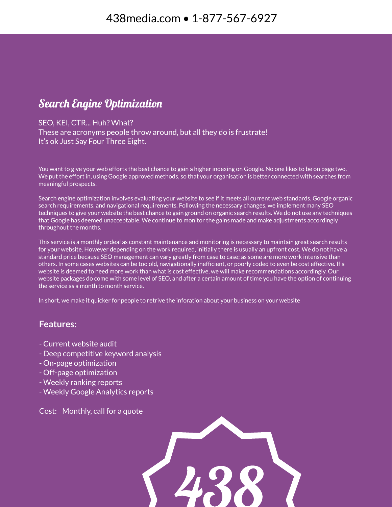## **Search Engine Optimization**

#### SEO, KEI, CTR... Huh? What?

These are acronyms people throw around, but all they do is frustrate! It's ok Just Say Four Three Eight.

You want to give your web efforts the best chance to gain a higher indexing on Google. No one likes to be on page two. We put the effort in, using Google approved methods, so that your organisation is better connected with searches from meaningful prospects.

Search engine optimization involves evaluating your website to see if it meets all current web standards, Google organic search requirements, and navigational requirements. Following the necessary changes, we implement many SEO techniques to give your website the best chance to gain ground on organic search results. We do not use any techniques that Google has deemed unacceptable. We continue to monitor the gains made and make adjustments accordingly throughout the months.

This service is a monthly ordeal as constant maintenance and monitoring is necessary to maintain great search results for your website. However depending on the work required, initially there is usually an upfront cost. We do not have a standard price because SEO management can vary greatly from case to case; as some are more work intensive than others. In some cases websites can be too old, navigationally inefficient, or poorly coded to even be cost effective. If a website is deemed to need more work than what is cost effective, we will make recommendations accordingly. Our website packages do come with some level of SEO, and after a certain amount of time you have the option of continuing the service as a month to month service.

In short, we make it quicker for people to retrive the inforation about your business on your website

### **Features:**

- Current website audit
- Deep competitive keyword analysis
- On-page optimization
- Off-page optimization
- Weekly ranking reports
- Weekly Google Analytics reports

Cost: Monthly, call for a quote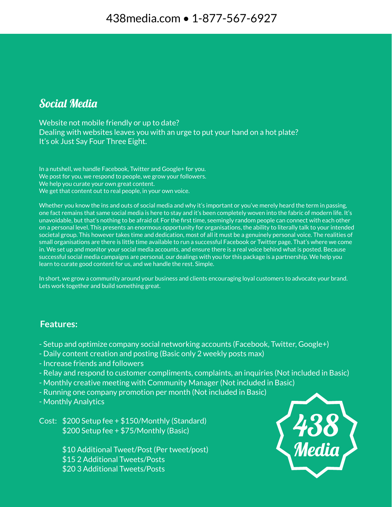## Social Media

Website not mobile friendly or up to date? Dealing with websites leaves you with an urge to put your hand on a hot plate? It's ok Just Say Four Three Eight.

In a nutshell, we handle Facebook, Twitter and Google+ for you. We post for you, we respond to people, we grow your followers. We help you curate your own great content. We get that content out to real people, in your own voice.

Whether you know the ins and outs of social media and why it's important or you've merely heard the term in passing, one fact remains that same social media is here to stay and it's been completely woven into the fabric of modern life. It's unavoidable, but that's nothing to be afraid of. For the first time, seemingly random people can connect with each other on a personal level. This presents an enormous opportunity for organisations, the ability to literally talk to your intended societal group. This however takes time and dedication, most of all it must be a genuinely personal voice. The realities of small organisations are there is little time available to run a successful Facebook or Twitter page. That's where we come in. We set up and monitor your social media accounts, and ensure there is a real voice behind what is posted. Because successful social media campaigns are personal, our dealings with you for this package is a partnership. We help you learn to curate good content for us, and we handle the rest. Simple.

In short, we grow a community around your business and clients encouraging loyal customers to advocate your brand. Lets work together and build something great.

### **Features:**

- Setup and optimize company social networking accounts (Facebook, Twitter, Google+)
- Daily content creation and posting (Basic only 2 weekly posts max)
- Increase friends and followers
- Relay and respond to customer compliments, complaints, an inquiries (Not included in Basic)
- Monthly creative meeting with Community Manager (Not included in Basic)
- Running one company promotion per month (Not included in Basic)
- Monthly Analytics

Cost: \$200 Setup fee + \$150/Monthly (Standard) \$200 Setup fee + \$75/Monthly (Basic)

> \$10 Additional Tweet/Post (Per tweet/post) \$15 2 Additional Tweets/Posts \$20 3 Additional Tweets/Posts

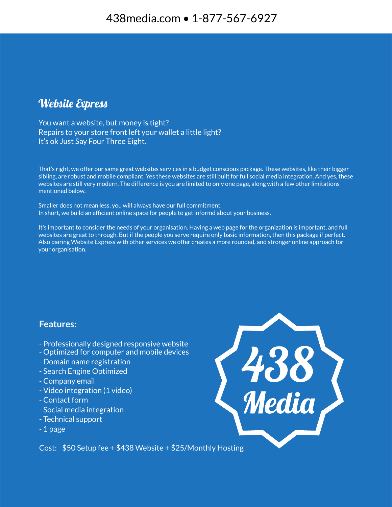## **Website Express**

You want a website, but money is tight? Repairs to your store front left your wallet a little light? It's ok Just Say Four Three Eight.

That's right, we offer our same great websites services in a budget conscious package. These websites, like their bigger sibling, are robust and mobile compliant. Yes these websites are still built for full social media integration. And yes, these websites are still very modern. The difference is you are limited to only one page, along with a few other limitations mentioned below.

Smaller does not mean less, you will always have our full commitment. In short, we build an efficient online space for people to get informd about your business.

It's important to consider the needs of your organisation. Having a web page for the organization is important, and full websites are great to through. But if the people you serve require only basic information, then this package if perfect. Also pairing Website Express with other services we offer creates a more rounded, and stronger online approach for your organisation.

### **Features:**

- Professionally designed responsive website
- Optimized for computer and mobile devices
- Domain name registration
- Search Engine Optimized
- Company email
- Video integration (1 video)
- Contact form
- Social media integration
- Technical support
- 1 page

438<br>Media

Cost: \$50 Setup fee + \$438 Website + \$25/Monthly Hosting